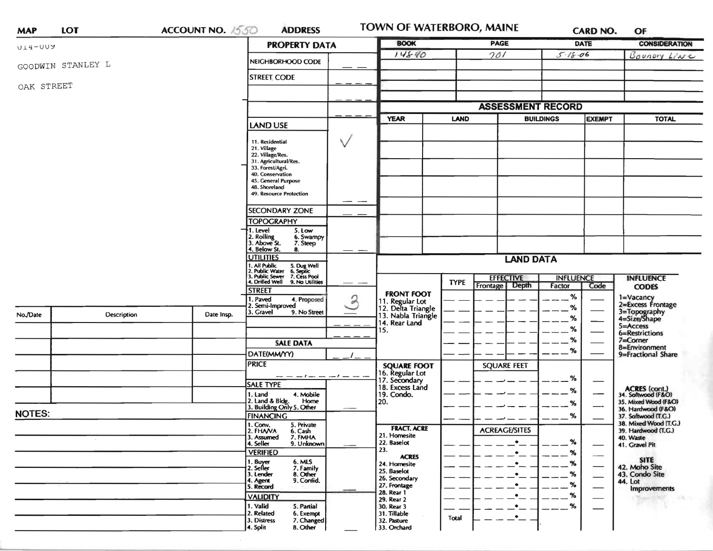| <b>MAP</b>    | <b>LOT</b>         | <b>ACCOUNT NO. 1550</b> | <b>ADDRESS</b>                                                                                                                                                                                                            | TOWN OF WATERBORO, MAINE                                    |                          |                                  | <b>CARD NO.</b><br>OF |               |                                                                |  |
|---------------|--------------------|-------------------------|---------------------------------------------------------------------------------------------------------------------------------------------------------------------------------------------------------------------------|-------------------------------------------------------------|--------------------------|----------------------------------|-----------------------|---------------|----------------------------------------------------------------|--|
| U14-UUY       |                    |                         | <b>PROPERTY DATA</b>                                                                                                                                                                                                      | <b>BOOK</b>                                                 |                          | <b>PAGE</b>                      |                       | DATE          | <b>CONSIDERATION</b>                                           |  |
|               |                    |                         | NEIGHBORHOOD CODE                                                                                                                                                                                                         | 14840                                                       |                          | 701                              | $5 - 18 - 06$         |               | Boundry Live                                                   |  |
|               | GOODWIN STANLEY L  |                         |                                                                                                                                                                                                                           |                                                             |                          |                                  |                       |               |                                                                |  |
| OAK STREET    |                    |                         | <b>STREET CODE</b>                                                                                                                                                                                                        |                                                             |                          |                                  |                       |               |                                                                |  |
|               |                    |                         |                                                                                                                                                                                                                           |                                                             |                          |                                  |                       |               |                                                                |  |
|               |                    |                         |                                                                                                                                                                                                                           |                                                             | <b>ASSESSMENT RECORD</b> |                                  |                       |               |                                                                |  |
|               |                    |                         | <b>LAND USE</b>                                                                                                                                                                                                           | <b>YEAR</b>                                                 | <b>LAND</b>              | <b>BUILDINGS</b>                 |                       | <b>EXEMPT</b> | <b>TOTAL</b>                                                   |  |
|               |                    |                         | $\vee$<br>11. Residential<br>21. Village<br>22. Village/Res.<br>31. Agricultural/Res.<br>33. Forest/Agri.<br>40. Conservation<br>45. General Purpose<br>48. Shoreland<br>49. Resource Protection<br><b>SECONDARY ZONE</b> |                                                             |                          |                                  |                       |               |                                                                |  |
|               |                    |                         | <b>TOPOGRAPHY</b>                                                                                                                                                                                                         |                                                             |                          |                                  |                       |               |                                                                |  |
|               |                    |                         | I. Level<br>5. Low                                                                                                                                                                                                        |                                                             |                          |                                  |                       |               |                                                                |  |
|               |                    |                         | 2. Rolling<br>6. Swampy<br>3. Above St.<br>7. Steep                                                                                                                                                                       |                                                             |                          |                                  |                       |               |                                                                |  |
|               |                    |                         | 4. Below St.<br>8.<br><b>UTILITIES</b>                                                                                                                                                                                    |                                                             |                          |                                  |                       |               |                                                                |  |
|               |                    |                         |                                                                                                                                                                                                                           |                                                             | <b>LAND DATA</b>         |                                  |                       |               |                                                                |  |
|               |                    |                         | 1. All Public 5. Dug Well<br>2. Public Water 6. Septic<br>3. Public Sewer 7. Cess Pool<br>4. Drilled Well 9. No Utilities                                                                                                 |                                                             | <b>TYPE</b>              | <b>EFFECTIVE</b>                 | <b>INFLUENCE</b>      |               | <b>INFLUENCE</b>                                               |  |
|               |                    |                         | <b>STREET</b>                                                                                                                                                                                                             | <b>FRONT FOOT</b>                                           |                          | Frontage   Depth                 | Factor                | Code          | <b>CODES</b>                                                   |  |
|               |                    |                         | 2<br>. Paved<br>4. Proposed<br>2. Semi-Improved                                                                                                                                                                           | 11. Regular Lot<br>12. Delta Triangle<br>13. Nabla Triangle |                          |                                  | %<br>$\%$             |               | 1=Vacancy<br>2=Excess Frontage<br>3=Topography<br>4=Size/Shape |  |
| No./Date      | <b>Description</b> | Date Insp.              | 3. Gravel<br>9. No Street                                                                                                                                                                                                 |                                                             |                          |                                  | %                     |               |                                                                |  |
|               |                    |                         |                                                                                                                                                                                                                           | 14. Rear Land<br>15.                                        |                          |                                  | %                     |               | 5=Access                                                       |  |
|               |                    |                         | <b>SALE DATA</b>                                                                                                                                                                                                          |                                                             |                          |                                  | %                     |               | 6=Restrictions<br>$7 =$ Corner                                 |  |
|               |                    |                         | DATE(MM/YY)                                                                                                                                                                                                               |                                                             |                          |                                  | $\%$                  |               | 8=Environment<br>9=Fractional Share                            |  |
|               |                    |                         | <b>PRICE</b>                                                                                                                                                                                                              | <b>SQUARE FOOT</b>                                          |                          | <b>SQUARE FEET</b>               |                       |               |                                                                |  |
|               |                    |                         | - - - / - - - / - -                                                                                                                                                                                                       | 16. Regular Lot<br>17. Secondary                            |                          |                                  |                       |               |                                                                |  |
|               |                    |                         | <b>SALE TYPE</b>                                                                                                                                                                                                          | 18. Excess Land                                             |                          |                                  | $\%$                  |               |                                                                |  |
|               |                    |                         | 4. Mobile<br>1. Land<br>Home                                                                                                                                                                                              | 19. Condo.                                                  |                          |                                  | %                     |               | ACRES (cont.)<br>34. Softwood (F&O)                            |  |
|               |                    |                         | 2. Land & Bldg. Home<br>3. Building Only 5. Other                                                                                                                                                                         | 20.                                                         |                          |                                  | %                     |               | 35. Mixed Wood (F&O)<br>36. Hardwood (F&O)                     |  |
| <b>NOTES:</b> |                    |                         | <b>FINANCING</b>                                                                                                                                                                                                          |                                                             |                          |                                  | %                     |               | 37. Softwood (T.G.)<br>38. Mixed Wood (T.G.)                   |  |
|               |                    |                         | 1. Conv.<br>5. Private<br>2. FHAVA<br>6. Cash                                                                                                                                                                             | <b>FRACT. ACRE</b>                                          |                          | <b>ACREAGE/SITES</b>             |                       |               | 39. Hardwood (T.G.)                                            |  |
|               |                    |                         | 7. FMHA<br>3. Assumed<br>4. Seller<br>9. Unknown                                                                                                                                                                          | 21. Homesite<br>22. Baselot                                 |                          | $\bullet$                        | %                     |               | 40. Waste<br>41. Gravel Pit                                    |  |
|               |                    |                         | <b>VERIFIED</b>                                                                                                                                                                                                           | 23.<br><b>ACRES</b>                                         |                          | $\cdot$ $\overline{\phantom{a}}$ | $-$ %                 |               |                                                                |  |
|               |                    |                         | 6. MLS<br>1. Buyer<br>2. Seller<br>7. Family                                                                                                                                                                              | 24. Homesite                                                |                          | $\cdot$ $-$                      | %                     |               | <b>SITE</b><br>42. Moho Site                                   |  |
|               |                    |                         | 3. Lender<br>8. Other                                                                                                                                                                                                     | 25. Baselot<br>26. Secondary                                |                          | $\cdot$ –                        | $-$ %                 |               | 43. Condo Site                                                 |  |
|               |                    |                         | 9. Confid.<br>4. Agent<br>5. Record                                                                                                                                                                                       | 27. Frontage                                                |                          | $\cdot$ $-$                      | $-$ %                 |               | 44. Lot<br><b>Improvements</b>                                 |  |
|               |                    |                         | <b>VALIDITY</b>                                                                                                                                                                                                           | 28. Rear 1<br>29. Rear 2                                    |                          | $\cdot$                          | $-$ %                 |               |                                                                |  |
|               |                    |                         | 1. Valid<br>5. Partial                                                                                                                                                                                                    | 30. Rear 3                                                  |                          | $\bullet$                        | %                     |               |                                                                |  |
|               |                    |                         | 2. Related<br>6. Exempt<br>7. Changed<br>3. Distress<br>8. Other<br>4. Split                                                                                                                                              | 31. Tillable<br>32. Pasture<br>33. Orchard                  | Total                    | $\cdot$ –                        |                       |               |                                                                |  |